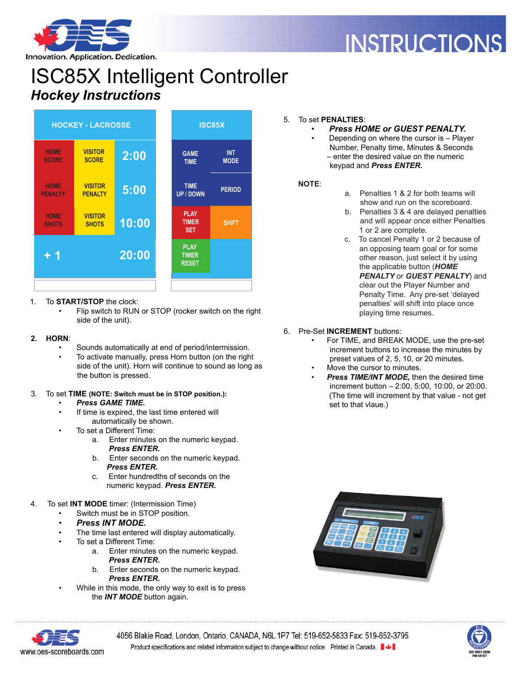

# **INSTRUCTIONS**

Innovation. Application. Dedication.

# ISC85X Intelligent Controller *Hockey Instructions*



#### 1. To **START/STOP** the clock:

Flip switch to RUN or STOP (rocker switch on the right side of the unit).

#### **2. HORN**:

- Sounds automatically at end of period/intermission.
- To activate manually, press Horn button (on the right side of the unit). Horn will continue to sound as long as the button is pressed.

#### 3. To set **TIME (NOTE: Switch must be in STOP position.):**

- *Press GAME TIME.*
- If time is expired, the last time entered will automatically be shown.
- To set a Different Time:
	- a. Enter minutes on the numeric keypad.  *Press ENTER.*
	- b. Enter seconds on the numeric keypad.  *Press ENTER.*
	- c. Enter hundredths of seconds on the numeric keypad. *Press ENTER.*
- 4. To set **INT MODE** timer: (Intermission Time)
	- Switch must be in STOP position.
	- *Press INT MODE.*
	- The time last entered will display automatically.
	- To set a Different Time:
		- a. Enter minutes on the numeric keypad.  *Press ENTER.*
		- b. Enter seconds on the numeric keypad.  *Press ENTER.*
	- While in this mode, the only way to exit is to press the *INT MODE* button again.

# 5. To set **PENALTIES**:

- *Press HOME or GUEST PENALTY.*
	- Depending on where the cursor is Player Number, Penalty time, Minutes & Seconds – enter the desired value on the numeric keypad and *Press ENTER.*

#### **NOTE**:

- a. Penalties 1 & 2 for both teams will show and run on the scoreboard.
- b. Penalties 3 & 4 are delayed penalties and will appear once either Penalties 1 or 2 are complete.
- c. To cancel Penalty 1 or 2 because of an opposing team goal or for some other reason, just select it by using the applicable button (*HOME PENALTY* or *GUEST PENALTY*) and clear out the Player Number and Penalty Time. Any pre-set 'delayed penalties' will shift into place once playing time resumes.
- 6. Pre-Set **INCREMENT** buttons:
	- For TIME, and BREAK MODE, use the pre-set increment buttons to increase the minutes by preset values of 2, 5, 10, or 20 minutes.
	- Move the cursor to minutes.
	- **Press TIME/INT MODE, then the desired time** increment button – 2:00, 5:00, 10:00, or 20:00. (The time will increment by that value - not get set to that vlaue.)





4056 Blakie Road, London, Ontario, CANADA, N6L 1P7 Tel: 519-652-5833 Fax: 519-652-3795 Product specifications and related information subject to change without notice. Printed in Canada. ■↓